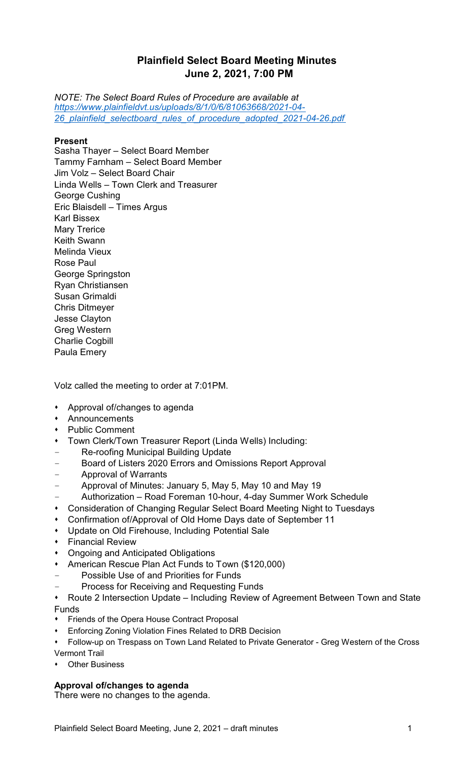# **Plainfield Select Board Meeting Minutes June 2, 2021, 7:00 PM**

*NOTE: The Select Board Rules of Procedure are available at [https://www.plainfieldvt.us/uploads/8/1/0/6/81063668/2021-04-](https://www.plainfieldvt.us/uploads/8/1/0/6/81063668/2021-04-26_plainfield_selectboard_rules_of_procedure_adopted_2021-04-26.pdf) [26\\_plainfield\\_selectboard\\_rules\\_of\\_procedure\\_adopted\\_2021-04-26.pdf](https://www.plainfieldvt.us/uploads/8/1/0/6/81063668/2021-04-26_plainfield_selectboard_rules_of_procedure_adopted_2021-04-26.pdf)*

# **Present**

Sasha Thayer – Select Board Member Tammy Farnham – Select Board Member Jim Volz – Select Board Chair Linda Wells – Town Clerk and Treasurer George Cushing Eric Blaisdell – Times Argus Karl Bissex Mary Trerice Keith Swann Melinda Vieux Rose Paul George Springston Ryan Christiansen Susan Grimaldi Chris Ditmeyer Jesse Clayton Greg Western Charlie Cogbill Paula Emery

Volz called the meeting to order at 7:01PM.

- Approval of/changes to agenda
- **Announcements**
- **Public Comment**
- Town Clerk/Town Treasurer Report (Linda Wells) Including:
- Re-roofing Municipal Building Update
- Board of Listers 2020 Errors and Omissions Report Approval
- Approval of Warrants
- Approval of Minutes: January 5, May 5, May 10 and May 19
- Authorization Road Foreman 10-hour, 4-day Summer Work Schedule
- Consideration of Changing Regular Select Board Meeting Night to Tuesdays
- Confirmation of/Approval of Old Home Days date of September 11
- Update on Old Firehouse, Including Potential Sale
- **\*** Financial Review
- **Ongoing and Anticipated Obligations**
- \* American Rescue Plan Act Funds to Town (\$120,000)
- Possible Use of and Priorities for Funds
- Process for Receiving and Requesting Funds
- Route 2 Intersection Update Including Review of Agreement Between Town and State Funds
- Friends of the Opera House Contract Proposal
- Enforcing Zoning Violation Fines Related to DRB Decision
- Follow-up on Trespass on Town Land Related to Private Generator Greg Western of the Cross Vermont Trail
- Other Business

# **Approval of/changes to agenda**

There were no changes to the agenda.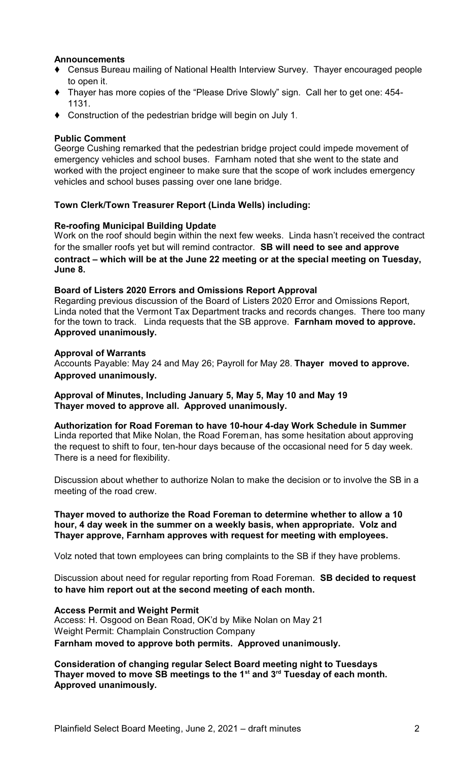# **Announcements**

- Census Bureau mailing of National Health Interview Survey. Thayer encouraged people to open it.
- Thayer has more copies of the "Please Drive Slowly" sign. Call her to get one: 454- 1131.
- Construction of the pedestrian bridge will begin on July 1.

# **Public Comment**

George Cushing remarked that the pedestrian bridge project could impede movement of emergency vehicles and school buses. Farnham noted that she went to the state and worked with the project engineer to make sure that the scope of work includes emergency vehicles and school buses passing over one lane bridge.

## **Town Clerk/Town Treasurer Report (Linda Wells) including:**

## **Re-roofing Municipal Building Update**

Work on the roof should begin within the next few weeks. Linda hasn't received the contract for the smaller roofs yet but will remind contractor. **SB will need to see and approve contract – which will be at the June 22 meeting or at the special meeting on Tuesday, June 8.**

#### **Board of Listers 2020 Errors and Omissions Report Approval**

Regarding previous discussion of the Board of Listers 2020 Error and Omissions Report, Linda noted that the Vermont Tax Department tracks and records changes. There too many for the town to track. Linda requests that the SB approve. **Farnham moved to approve. Approved unanimously.**

#### **Approval of Warrants**

Accounts Payable: May 24 and May 26; Payroll for May 28. **Thayer moved to approve. Approved unanimously.**

**Approval of Minutes, Including January 5, May 5, May 10 and May 19 Thayer moved to approve all. Approved unanimously.**

**Authorization for Road Foreman to have 10-hour 4-day Work Schedule in Summer** Linda reported that Mike Nolan, the Road Foreman, has some hesitation about approving the request to shift to four, ten-hour days because of the occasional need for 5 day week. There is a need for flexibility.

Discussion about whether to authorize Nolan to make the decision or to involve the SB in a meeting of the road crew.

## **Thayer moved to authorize the Road Foreman to determine whether to allow a 10 hour, 4 day week in the summer on a weekly basis, when appropriate. Volz and Thayer approve, Farnham approves with request for meeting with employees.**

Volz noted that town employees can bring complaints to the SB if they have problems.

Discussion about need for regular reporting from Road Foreman. **SB decided to request to have him report out at the second meeting of each month.**

#### **Access Permit and Weight Permit**

Access: H. Osgood on Bean Road, OK'd by Mike Nolan on May 21 Weight Permit: Champlain Construction Company **Farnham moved to approve both permits. Approved unanimously.** 

**Consideration of changing regular Select Board meeting night to Tuesdays Thayer moved to move SB meetings to the 1st and 3rd Tuesday of each month. Approved unanimously.**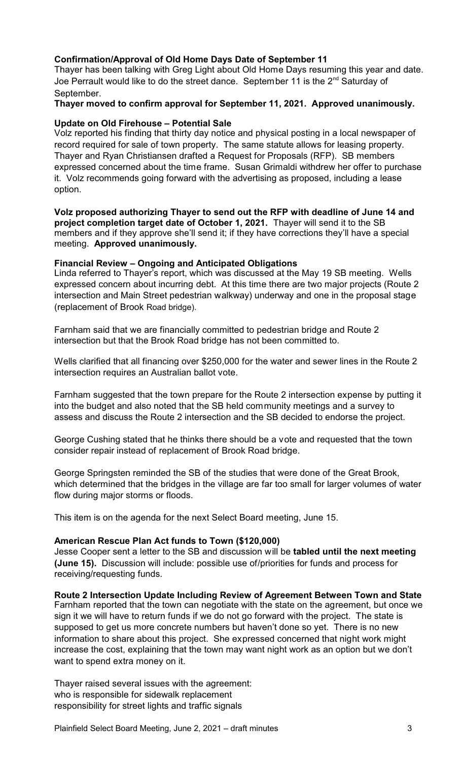# **Confirmation/Approval of Old Home Days Date of September 11**

Thayer has been talking with Greg Light about Old Home Days resuming this year and date. Joe Perrault would like to do the street dance. September 11 is the 2<sup>nd</sup> Saturday of September.

# **Thayer moved to confirm approval for September 11, 2021. Approved unanimously.**

# **Update on Old Firehouse – Potential Sale**

Volz reported his finding that thirty day notice and physical posting in a local newspaper of record required for sale of town property. The same statute allows for leasing property. Thayer and Ryan Christiansen drafted a Request for Proposals (RFP). SB members expressed concerned about the time frame. Susan Grimaldi withdrew her offer to purchase it. Volz recommends going forward with the advertising as proposed, including a lease option.

**Volz proposed authorizing Thayer to send out the RFP with deadline of June 14 and project completion target date of October 1, 2021.** Thayer will send it to the SB members and if they approve she'll send it; if they have corrections they'll have a special meeting. **Approved unanimously.**

## **Financial Review – Ongoing and Anticipated Obligations**

Linda referred to Thayer's report, which was discussed at the May 19 SB meeting. Wells expressed concern about incurring debt. At this time there are two major projects (Route 2 intersection and Main Street pedestrian walkway) underway and one in the proposal stage (replacement of Brook Road bridge).

Farnham said that we are financially committed to pedestrian bridge and Route 2 intersection but that the Brook Road bridge has not been committed to.

Wells clarified that all financing over \$250,000 for the water and sewer lines in the Route 2 intersection requires an Australian ballot vote.

Farnham suggested that the town prepare for the Route 2 intersection expense by putting it into the budget and also noted that the SB held community meetings and a survey to assess and discuss the Route 2 intersection and the SB decided to endorse the project.

George Cushing stated that he thinks there should be a vote and requested that the town consider repair instead of replacement of Brook Road bridge.

George Springsten reminded the SB of the studies that were done of the Great Brook, which determined that the bridges in the village are far too small for larger volumes of water flow during major storms or floods.

This item is on the agenda for the next Select Board meeting, June 15.

# **American Rescue Plan Act funds to Town (\$120,000)**

Jesse Cooper sent a letter to the SB and discussion will be **tabled until the next meeting (June 15).** Discussion will include: possible use of/priorities for funds and process for receiving/requesting funds.

**Route 2 Intersection Update Including Review of Agreement Between Town and State**

Farnham reported that the town can negotiate with the state on the agreement, but once we sign it we will have to return funds if we do not go forward with the project. The state is supposed to get us more concrete numbers but haven't done so yet. There is no new information to share about this project. She expressed concerned that night work might increase the cost, explaining that the town may want night work as an option but we don't want to spend extra money on it.

Thayer raised several issues with the agreement: who is responsible for sidewalk replacement responsibility for street lights and traffic signals

Plainfield Select Board Meeting, June 2, 2021 – draft minutes 3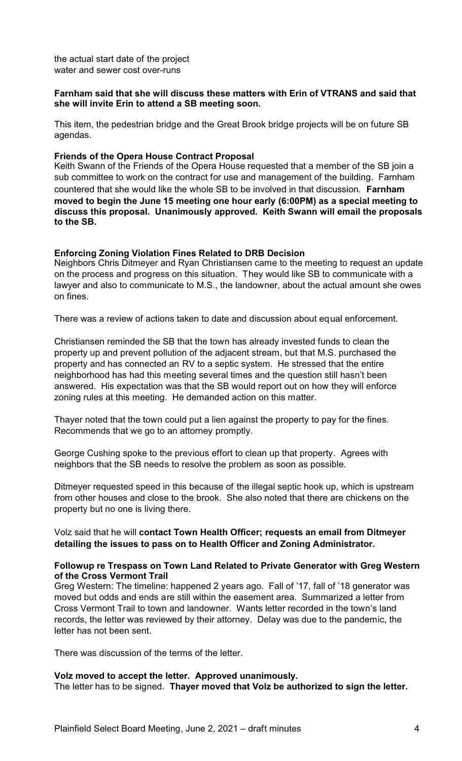the actual start date of the project water and sewer cost over-runs

## **Farnham said that she will discuss these matters with Erin of VTRANS and said that she will invite Erin to attend a SB meeting soon.**

This item, the pedestrian bridge and the Great Brook bridge projects will be on future SB agendas.

### **Friends of the Opera House Contract Proposal**

Keith Swann of the Friends of the Opera House requested that a member of the SB join a sub committee to work on the contract for use and management of the building. Farnham countered that she would like the whole SB to be involved in that discussion. **Farnham moved to begin the June 15 meeting one hour early (6:00PM) as a special meeting to discuss this proposal. Unanimously approved. Keith Swann will email the proposals to the SB.**

#### **Enforcing Zoning Violation Fines Related to DRB Decision**

Neighbors Chris Ditmeyer and Ryan Christiansen came to the meeting to request an update on the process and progress on this situation. They would like SB to communicate with a lawyer and also to communicate to M.S., the landowner, about the actual amount she owes on fines.

There was a review of actions taken to date and discussion about equal enforcement.

Christiansen reminded the SB that the town has already invested funds to clean the property up and prevent pollution of the adjacent stream, but that M.S. purchased the property and has connected an RV to a septic system. He stressed that the entire neighborhood has had this meeting several times and the question still hasn't been answered. His expectation was that the SB would report out on how they will enforce zoning rules at this meeting. He demanded action on this matter.

Thayer noted that the town could put a lien against the property to pay for the fines. Recommends that we go to an attorney promptly.

George Cushing spoke to the previous effort to clean up that property. Agrees with neighbors that the SB needs to resolve the problem as soon as possible.

Ditmeyer requested speed in this because of the illegal septic hook up, which is upstream from other houses and close to the brook. She also noted that there are chickens on the property but no one is living there.

Volz said that he will **contact Town Health Officer; requests an email from Ditmeyer detailing the issues to pass on to Health Officer and Zoning Administrator.** 

#### **Followup re Trespass on Town Land Related to Private Generator with Greg Western of the Cross Vermont Trail**

Greg Western: The timeline: happened 2 years ago. Fall of '17, fall of '18 generator was moved but odds and ends are still within the easement area. Summarized a letter from Cross Vermont Trail to town and landowner. Wants letter recorded in the town's land records, the letter was reviewed by their attorney. Delay was due to the pandemic, the letter has not been sent.

There was discussion of the terms of the letter.

#### **Volz moved to accept the letter. Approved unanimously.**

The letter has to be signed. **Thayer moved that Volz be authorized to sign the letter.**